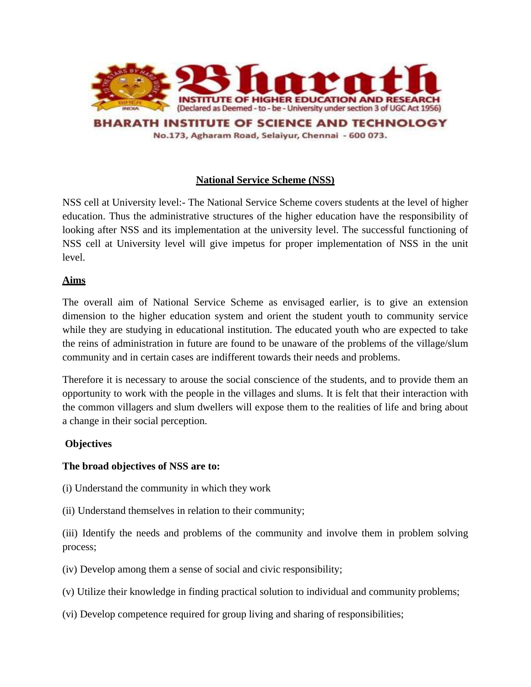

## **National Service Scheme (NSS)**

NSS cell at University level:- The National Service Scheme covers students at the level of higher education. Thus the administrative structures of the higher education have the responsibility of looking after NSS and its implementation at the university level. The successful functioning of NSS cell at University level will give impetus for proper implementation of NSS in the unit level.

#### **Aims**

The overall aim of National Service Scheme as envisaged earlier, is to give an extension dimension to the higher education system and orient the student youth to community service while they are studying in educational institution. The educated youth who are expected to take the reins of administration in future are found to be unaware of the problems of the village/slum community and in certain cases are indifferent towards their needs and problems.

Therefore it is necessary to arouse the social conscience of the students, and to provide them an opportunity to work with the people in the villages and slums. It is felt that their interaction with the common villagers and slum dwellers will expose them to the realities of life and bring about a change in their social perception.

#### **Objectives**

#### **The broad objectives of NSS are to:**

- (i) Understand the community in which they work
- (ii) Understand themselves in relation to their community;

(iii) Identify the needs and problems of the community and involve them in problem solving process;

- (iv) Develop among them a sense of social and civic responsibility;
- (v) Utilize their knowledge in finding practical solution to individual and community problems;
- (vi) Develop competence required for group living and sharing of responsibilities;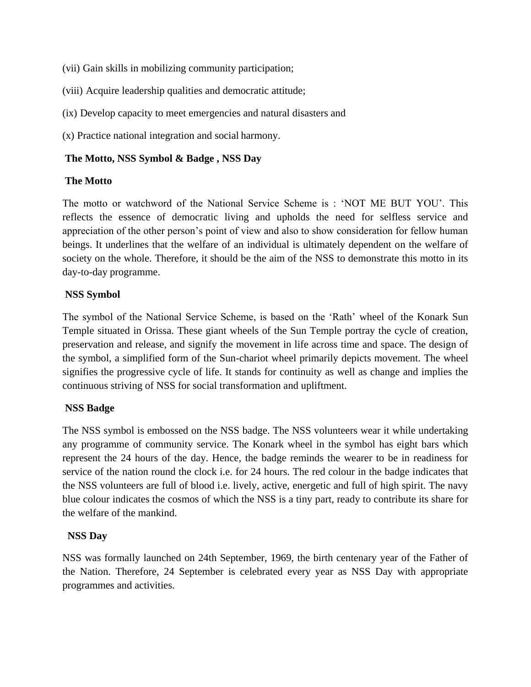(vii) Gain skills in mobilizing community participation;

(viii) Acquire leadership qualities and democratic attitude;

(ix) Develop capacity to meet emergencies and natural disasters and

(x) Practice national integration and social harmony.

#### **The Motto, NSS Symbol & Badge , NSS Day**

#### **The Motto**

The motto or watchword of the National Service Scheme is : 'NOT ME BUT YOU'. This reflects the essence of democratic living and upholds the need for selfless service and appreciation of the other person's point of view and also to show consideration for fellow human beings. It underlines that the welfare of an individual is ultimately dependent on the welfare of society on the whole. Therefore, it should be the aim of the NSS to demonstrate this motto in its day-to-day programme.

## **NSS Symbol**

The symbol of the National Service Scheme, is based on the 'Rath' wheel of the Konark Sun Temple situated in Orissa. These giant wheels of the Sun Temple portray the cycle of creation, preservation and release, and signify the movement in life across time and space. The design of the symbol, a simplified form of the Sun-chariot wheel primarily depicts movement. The wheel signifies the progressive cycle of life. It stands for continuity as well as change and implies the continuous striving of NSS for social transformation and upliftment.

## **NSS Badge**

The NSS symbol is embossed on the NSS badge. The NSS volunteers wear it while undertaking any programme of community service. The Konark wheel in the symbol has eight bars which represent the 24 hours of the day. Hence, the badge reminds the wearer to be in readiness for service of the nation round the clock i.e. for 24 hours. The red colour in the badge indicates that the NSS volunteers are full of blood i.e. lively, active, energetic and full of high spirit. The navy blue colour indicates the cosmos of which the NSS is a tiny part, ready to contribute its share for the welfare of the mankind.

#### **NSS Day**

NSS was formally launched on 24th September, 1969, the birth centenary year of the Father of the Nation. Therefore, 24 September is celebrated every year as NSS Day with appropriate programmes and activities.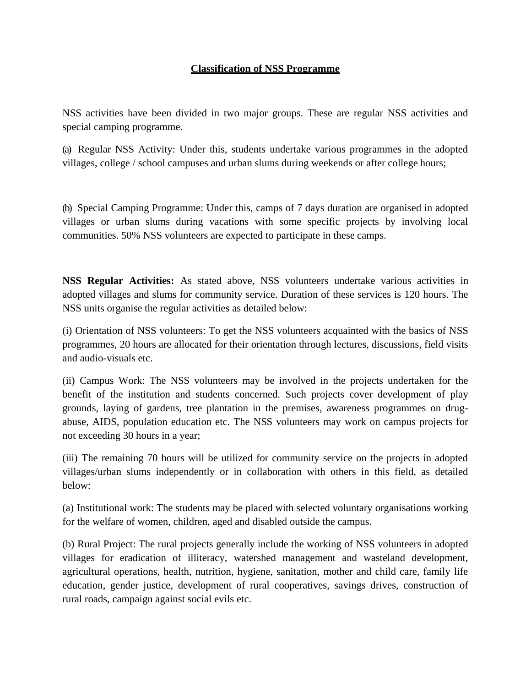## **Classification of NSS Programme**

NSS activities have been divided in two major groups. These are regular NSS activities and special camping programme.

(a) Regular NSS Activity: Under this, students undertake various programmes in the adopted villages, college / school campuses and urban slums during weekends or after college hours;

(b) Special Camping Programme: Under this, camps of 7 days duration are organised in adopted villages or urban slums during vacations with some specific projects by involving local communities. 50% NSS volunteers are expected to participate in these camps.

**NSS Regular Activities:** As stated above, NSS volunteers undertake various activities in adopted villages and slums for community service. Duration of these services is 120 hours. The NSS units organise the regular activities as detailed below:

(i) Orientation of NSS volunteers: To get the NSS volunteers acquainted with the basics of NSS programmes, 20 hours are allocated for their orientation through lectures, discussions, field visits and audio-visuals etc.

(ii) Campus Work: The NSS volunteers may be involved in the projects undertaken for the benefit of the institution and students concerned. Such projects cover development of play grounds, laying of gardens, tree plantation in the premises, awareness programmes on drugabuse, AIDS, population education etc. The NSS volunteers may work on campus projects for not exceeding 30 hours in a year;

(iii) The remaining 70 hours will be utilized for community service on the projects in adopted villages/urban slums independently or in collaboration with others in this field, as detailed below:

(a) Institutional work: The students may be placed with selected voluntary organisations working for the welfare of women, children, aged and disabled outside the campus.

(b) Rural Project: The rural projects generally include the working of NSS volunteers in adopted villages for eradication of illiteracy, watershed management and wasteland development, agricultural operations, health, nutrition, hygiene, sanitation, mother and child care, family life education, gender justice, development of rural cooperatives, savings drives, construction of rural roads, campaign against social evils etc.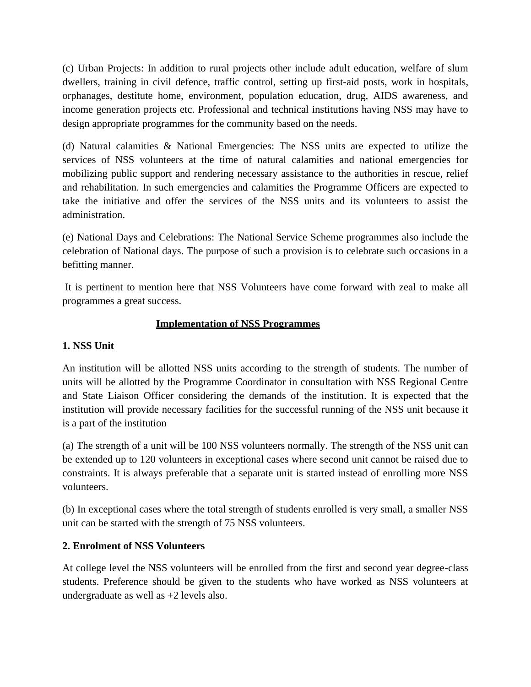(c) Urban Projects: In addition to rural projects other include adult education, welfare of slum dwellers, training in civil defence, traffic control, setting up first-aid posts, work in hospitals, orphanages, destitute home, environment, population education, drug, AIDS awareness, and income generation projects etc. Professional and technical institutions having NSS may have to design appropriate programmes for the community based on the needs.

(d) Natural calamities & National Emergencies: The NSS units are expected to utilize the services of NSS volunteers at the time of natural calamities and national emergencies for mobilizing public support and rendering necessary assistance to the authorities in rescue, relief and rehabilitation. In such emergencies and calamities the Programme Officers are expected to take the initiative and offer the services of the NSS units and its volunteers to assist the administration.

(e) National Days and Celebrations: The National Service Scheme programmes also include the celebration of National days. The purpose of such a provision is to celebrate such occasions in a befitting manner.

It is pertinent to mention here that NSS Volunteers have come forward with zeal to make all programmes a great success.

## **Implementation of NSS Programmes**

## **1. NSS Unit**

An institution will be allotted NSS units according to the strength of students. The number of units will be allotted by the Programme Coordinator in consultation with NSS Regional Centre and State Liaison Officer considering the demands of the institution. It is expected that the institution will provide necessary facilities for the successful running of the NSS unit because it is a part of the institution

(a) The strength of a unit will be 100 NSS volunteers normally. The strength of the NSS unit can be extended up to 120 volunteers in exceptional cases where second unit cannot be raised due to constraints. It is always preferable that a separate unit is started instead of enrolling more NSS volunteers.

(b) In exceptional cases where the total strength of students enrolled is very small, a smaller NSS unit can be started with the strength of 75 NSS volunteers.

## **2. Enrolment of NSS Volunteers**

At college level the NSS volunteers will be enrolled from the first and second year degree-class students. Preference should be given to the students who have worked as NSS volunteers at undergraduate as well as +2 levels also.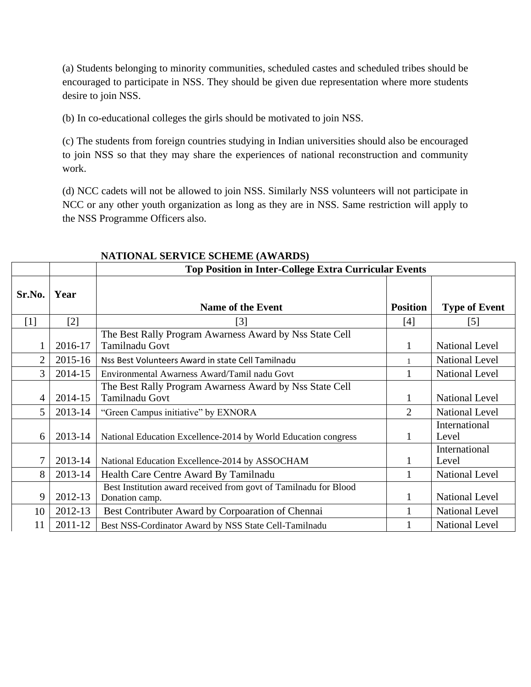(a) Students belonging to minority communities, scheduled castes and scheduled tribes should be encouraged to participate in NSS. They should be given due representation where more students desire to join NSS.

(b) In co-educational colleges the girls should be motivated to join NSS.

(c) The students from foreign countries studying in Indian universities should also be encouraged to join NSS so that they may share the experiences of national reconstruction and community work.

(d) NCC cadets will not be allowed to join NSS. Similarly NSS volunteers will not participate in NCC or any other youth organization as long as they are in NSS. Same restriction will apply to the NSS Programme Officers also.

|                |         | <b>Top Position in Inter-College Extra Curricular Events</b>                       |                 |                        |
|----------------|---------|------------------------------------------------------------------------------------|-----------------|------------------------|
| Sr.No.         | Year    | <b>Name of the Event</b>                                                           | <b>Position</b> | <b>Type of Event</b>   |
| $[1]$          | [2]     | $[3]$                                                                              | [4]             | [5]                    |
|                | 2016-17 | The Best Rally Program Awarness Award by Nss State Cell<br>Tamilnadu Govt          |                 | <b>National Level</b>  |
| $\overline{2}$ | 2015-16 | Nss Best Volunteers Award in state Cell Tamilnadu                                  |                 | <b>National Level</b>  |
| 3              | 2014-15 | Environmental Awarness Award/Tamil nadu Govt                                       |                 | <b>National Level</b>  |
| 4              | 2014-15 | The Best Rally Program Awarness Award by Nss State Cell<br><b>Tamilnadu Govt</b>   | 1               | <b>National Level</b>  |
| 5              | 2013-14 | "Green Campus initiative" by EXNORA                                                | $\overline{2}$  | <b>National Level</b>  |
| 6              | 2013-14 | National Education Excellence-2014 by World Education congress                     |                 | International<br>Level |
| 7              | 2013-14 | National Education Excellence-2014 by ASSOCHAM                                     |                 | International<br>Level |
| 8              | 2013-14 | Health Care Centre Award By Tamilnadu                                              |                 | <b>National Level</b>  |
| 9              | 2012-13 | Best Institution award received from govt of Tamilnadu for Blood<br>Donation camp. | 1               | <b>National Level</b>  |
| 10             | 2012-13 | Best Contributer Award by Corpoaration of Chennai                                  |                 | <b>National Level</b>  |
| 11             | 2011-12 | Best NSS-Cordinator Award by NSS State Cell-Tamilnadu                              |                 | <b>National Level</b>  |

#### **NATIONAL SERVICE SCHEME (AWARDS)**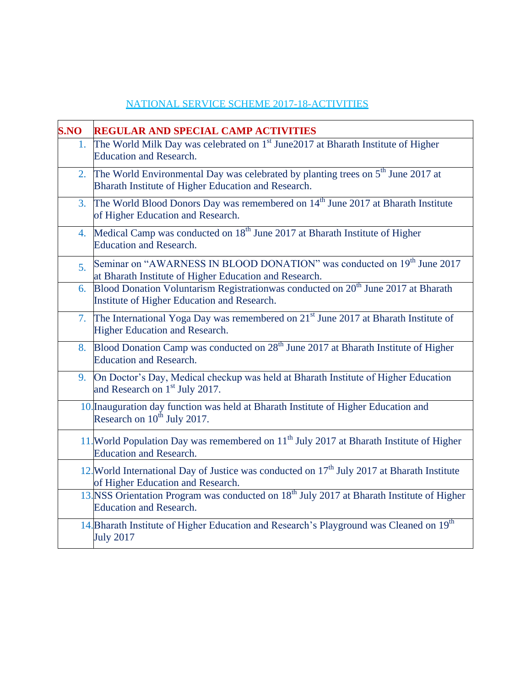# NATIONAL SERVICE SCHEME 2017-18-ACTIVITIES

| <b>S.NO</b>    | <b>REGULAR AND SPECIAL CAMP ACTIVITIES</b>                                                                                                      |
|----------------|-------------------------------------------------------------------------------------------------------------------------------------------------|
| 1.             | The World Milk Day was celebrated on 1 <sup>st</sup> June2017 at Bharath Institute of Higher<br><b>Education and Research.</b>                  |
| 2.             | The World Environmental Day was celebrated by planting trees on $5th$ June 2017 at<br>Bharath Institute of Higher Education and Research.       |
| 3.             | The World Blood Donors Day was remembered on 14 <sup>th</sup> June 2017 at Bharath Institute<br>of Higher Education and Research.               |
| 4.             | Medical Camp was conducted on 18 <sup>th</sup> June 2017 at Bharath Institute of Higher<br><b>Education and Research.</b>                       |
| 5 <sub>1</sub> | Seminar on "AWARNESS IN BLOOD DONATION" was conducted on 19 <sup>th</sup> June 2017<br>at Bharath Institute of Higher Education and Research.   |
|                | 6. Blood Donation Voluntarism Registrationwas conducted on 20 <sup>th</sup> June 2017 at Bharath<br>Institute of Higher Education and Research. |
| 7.             | The International Yoga Day was remembered on 21 <sup>st</sup> June 2017 at Bharath Institute of<br>Higher Education and Research.               |
|                | 8. Blood Donation Camp was conducted on 28 <sup>th</sup> June 2017 at Bharath Institute of Higher<br><b>Education and Research.</b>             |
| 9.             | On Doctor's Day, Medical checkup was held at Bharath Institute of Higher Education<br>and Research on 1 <sup>st</sup> July 2017.                |
|                | 10. Inauguration day function was held at Bharath Institute of Higher Education and<br>Research on $10^{th}$ July 2017.                         |
|                | 11. World Population Day was remembered on 11 <sup>th</sup> July 2017 at Bharath Institute of Higher<br><b>Education and Research.</b>          |
|                | 12. World International Day of Justice was conducted on 17 <sup>th</sup> July 2017 at Bharath Institute<br>of Higher Education and Research.    |
|                | 13. NSS Orientation Program was conducted on 18 <sup>th</sup> July 2017 at Bharath Institute of Higher<br><b>Education and Research.</b>        |
|                | 14. Bharath Institute of Higher Education and Research's Playground was Cleaned on 19th<br><b>July 2017</b>                                     |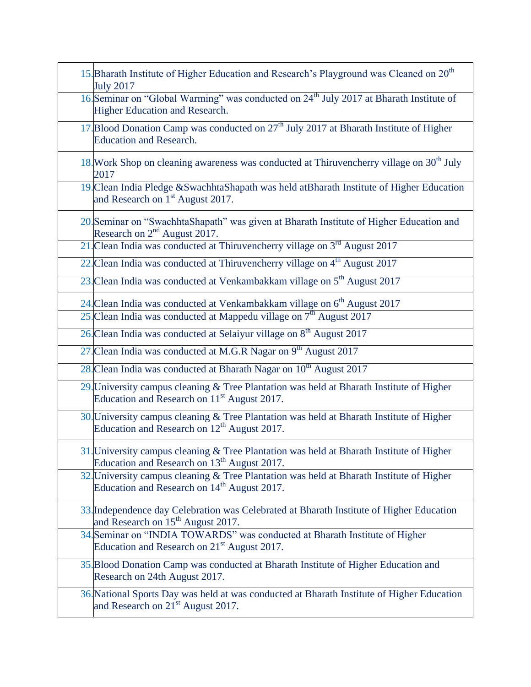| <b>July 2017</b>                                                                 | 15. Bharath Institute of Higher Education and Research's Playground was Cleaned on 20 <sup>th</sup>  |
|----------------------------------------------------------------------------------|------------------------------------------------------------------------------------------------------|
| <b>Higher Education and Research.</b>                                            | 16. Seminar on "Global Warming" was conducted on 24 <sup>th</sup> July 2017 at Bharath Institute of  |
| <b>Education and Research.</b>                                                   | 17. Blood Donation Camp was conducted on 27 <sup>th</sup> July 2017 at Bharath Institute of Higher   |
| 2017                                                                             | 18. Work Shop on cleaning awareness was conducted at Thiruvencherry village on 30 <sup>th</sup> July |
| and Research on 1 <sup>st</sup> August 2017.                                     | 19. Clean India Pledge & Swachhta Shapath was held at Bharath Institute of Higher Education          |
| Research on $2nd$ August 2017.                                                   | 20. Seminar on "SwachhtaShapath" was given at Bharath Institute of Higher Education and              |
|                                                                                  | 21. Clean India was conducted at Thiruvencherry village on 3 <sup>rd</sup> August 2017               |
|                                                                                  | 22. Clean India was conducted at Thiruvencherry village on 4 <sup>th</sup> August 2017               |
|                                                                                  | 23. Clean India was conducted at Venkambakkam village on 5 <sup>th</sup> August 2017                 |
|                                                                                  | 24. Clean India was conducted at Venkambakkam village on 6 <sup>th</sup> August 2017                 |
| 25. Clean India was conducted at Mappedu village on $7th$ August 2017            |                                                                                                      |
| 26. Clean India was conducted at Selaiyur village on 8 <sup>th</sup> August 2017 |                                                                                                      |
| 27. Clean India was conducted at M.G.R Nagar on 9 <sup>th</sup> August 2017      |                                                                                                      |
| 28. Clean India was conducted at Bharath Nagar on 10 <sup>th</sup> August 2017   |                                                                                                      |
| Education and Research on 11 <sup>st</sup> August 2017.                          | 29. University campus cleaning & Tree Plantation was held at Bharath Institute of Higher             |
| Education and Research on $12th$ August 2017.                                    | 30. University campus cleaning & Tree Plantation was held at Bharath Institute of Higher             |
| Education and Research on 13 <sup>th</sup> August 2017.                          | 31. University campus cleaning & Tree Plantation was held at Bharath Institute of Higher             |
| Education and Research on 14 <sup>th</sup> August 2017.                          | 32. University campus cleaning & Tree Plantation was held at Bharath Institute of Higher             |
| and Research on 15 <sup>th</sup> August 2017.                                    | 33. Independence day Celebration was Celebrated at Bharath Institute of Higher Education             |
| Education and Research on $21st$ August 2017.                                    | 34. Seminar on "INDIA TOWARDS" was conducted at Bharath Institute of Higher                          |
| Research on 24th August 2017.                                                    | 35. Blood Donation Camp was conducted at Bharath Institute of Higher Education and                   |
| and Research on 21 <sup>st</sup> August 2017.                                    | 36. National Sports Day was held at was conducted at Bharath Institute of Higher Education           |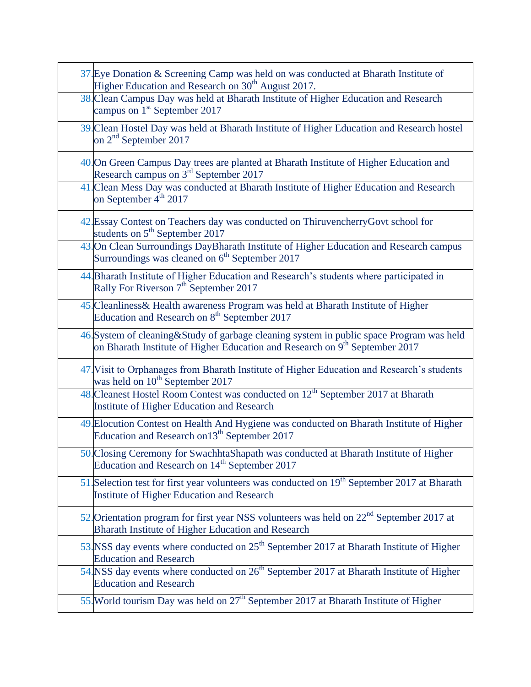| 37. Eye Donation & Screening Camp was held on was conducted at Bharath Institute of<br>Higher Education and Research on 30 <sup>th</sup> August 2017.                                 |
|---------------------------------------------------------------------------------------------------------------------------------------------------------------------------------------|
| 38. Clean Campus Day was held at Bharath Institute of Higher Education and Research<br>campus on $1st$ September 2017                                                                 |
| 39. Clean Hostel Day was held at Bharath Institute of Higher Education and Research hostel<br>on $2nd$ September 2017                                                                 |
| 40. On Green Campus Day trees are planted at Bharath Institute of Higher Education and<br>Research campus on 3 <sup>rd</sup> September 2017                                           |
| 41. Clean Mess Day was conducted at Bharath Institute of Higher Education and Research<br>on September 4 <sup>th</sup> 2017                                                           |
| 42. Essay Contest on Teachers day was conducted on ThiruvencherryGovt school for<br>students on 5 <sup>th</sup> September 2017                                                        |
| 43. On Clean Surroundings DayBharath Institute of Higher Education and Research campus<br>Surroundings was cleaned on 6 <sup>th</sup> September 2017                                  |
| 44. Bharath Institute of Higher Education and Research's students where participated in<br>Rally For Riverson 7 <sup>th</sup> September 2017                                          |
| 45. Cleanliness & Health awareness Program was held at Bharath Institute of Higher<br>Education and Research on 8 <sup>th</sup> September 2017                                        |
| 46. System of cleaning & Study of garbage cleaning system in public space Program was held<br>on Bharath Institute of Higher Education and Research on 9 <sup>th</sup> September 2017 |
| 47. Visit to Orphanages from Bharath Institute of Higher Education and Research's students<br>was held on 10 <sup>th</sup> September 2017                                             |
| 48. Cleanest Hostel Room Contest was conducted on 12 <sup>th</sup> September 2017 at Bharath<br>Institute of Higher Education and Research                                            |
| 49. Elocution Contest on Health And Hygiene was conducted on Bharath Institute of Higher<br>Education and Research on 13 <sup>th</sup> September 2017                                 |
| 50. Closing Ceremony for SwachhtaShapath was conducted at Bharath Institute of Higher<br>Education and Research on 14 <sup>th</sup> September 2017                                    |
| 51. Selection test for first year volunteers was conducted on 19 <sup>th</sup> September 2017 at Bharath<br>Institute of Higher Education and Research                                |
| 52. Orientation program for first year NSS volunteers was held on 22 <sup>nd</sup> September 2017 at<br>Bharath Institute of Higher Education and Research                            |
| 53. NSS day events where conducted on $25th$ September 2017 at Bharath Institute of Higher<br><b>Education and Research</b>                                                           |
| 54. NSS day events where conducted on 26 <sup>th</sup> September 2017 at Bharath Institute of Higher<br><b>Education and Research</b>                                                 |
| 55. World tourism Day was held on 27 <sup>th</sup> September 2017 at Bharath Institute of Higher                                                                                      |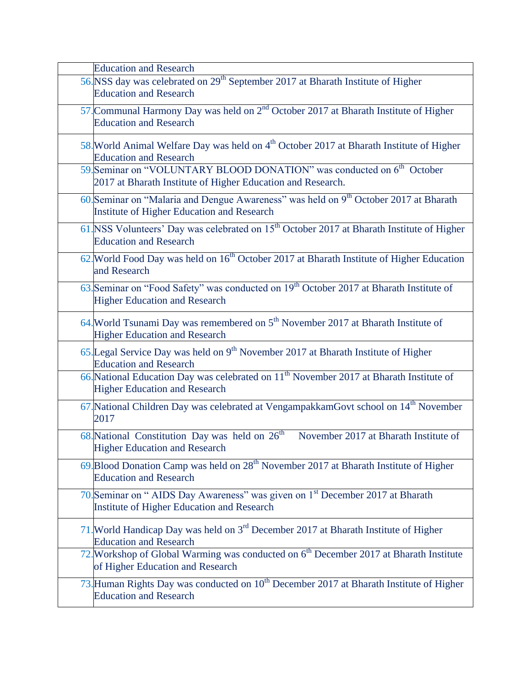| <b>Education and Research</b>                                                                                                                     |
|---------------------------------------------------------------------------------------------------------------------------------------------------|
| 56. NSS day was celebrated on 29 <sup>th</sup> September 2017 at Bharath Institute of Higher<br><b>Education and Research</b>                     |
| 57. Communal Harmony Day was held on 2 <sup>nd</sup> October 2017 at Bharath Institute of Higher<br><b>Education and Research</b>                 |
| 58. World Animal Welfare Day was held on 4 <sup>th</sup> October 2017 at Bharath Institute of Higher<br><b>Education and Research</b>             |
| 59. Seminar on "VOLUNTARY BLOOD DONATION" was conducted on 6 <sup>th</sup> October<br>2017 at Bharath Institute of Higher Education and Research. |
| 60. Seminar on "Malaria and Dengue Awareness" was held on $9th$ October 2017 at Bharath<br><b>Institute of Higher Education and Research</b>      |
| 61. NSS Volunteers' Day was celebrated on 15 <sup>th</sup> October 2017 at Bharath Institute of Higher<br><b>Education and Research</b>           |
| 62. World Food Day was held on 16 <sup>th</sup> October 2017 at Bharath Institute of Higher Education<br>and Research                             |
| 63. Seminar on "Food Safety" was conducted on 19 <sup>th</sup> October 2017 at Bharath Institute of<br><b>Higher Education and Research</b>       |
| 64. World Tsunami Day was remembered on 5 <sup>th</sup> November 2017 at Bharath Institute of<br><b>Higher Education and Research</b>             |
| 65. Legal Service Day was held on $9th$ November 2017 at Bharath Institute of Higher<br><b>Education and Research</b>                             |
| 66. National Education Day was celebrated on 11 <sup>th</sup> November 2017 at Bharath Institute of<br><b>Higher Education and Research</b>       |
| 67. National Children Day was celebrated at VengampakkamGovt school on 14 <sup>th</sup> November<br>2017                                          |
| 68. National Constitution Day was held on $26th$<br>November 2017 at Bharath Institute of<br><b>Higher Education and Research</b>                 |
| 69. Blood Donation Camp was held on $28th$ November 2017 at Bharath Institute of Higher<br><b>Education and Research</b>                          |
| 70. Seminar on "AIDS Day Awareness" was given on 1 <sup>st</sup> December 2017 at Bharath<br>Institute of Higher Education and Research           |
| 71. World Handicap Day was held on $3rd$ December 2017 at Bharath Institute of Higher<br><b>Education and Research</b>                            |
| 72. Workshop of Global Warming was conducted on 6 <sup>th</sup> December 2017 at Bharath Institute<br>of Higher Education and Research            |
| 73. Human Rights Day was conducted on 10 <sup>th</sup> December 2017 at Bharath Institute of Higher<br><b>Education and Research</b>              |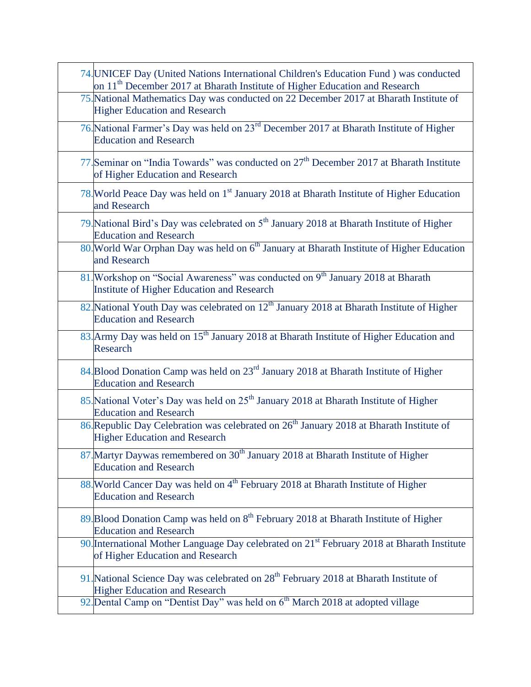| 74. UNICEF Day (United Nations International Children's Education Fund ) was conducted<br>on 11 <sup>th</sup> December 2017 at Bharath Institute of Higher Education and Research |
|-----------------------------------------------------------------------------------------------------------------------------------------------------------------------------------|
| 75. National Mathematics Day was conducted on 22 December 2017 at Bharath Institute of<br><b>Higher Education and Research</b>                                                    |
| 76. National Farmer's Day was held on 23 <sup>rd</sup> December 2017 at Bharath Institute of Higher<br><b>Education and Research</b>                                              |
| 77. Seminar on "India Towards" was conducted on 27 <sup>th</sup> December 2017 at Bharath Institute<br>of Higher Education and Research                                           |
| 78. World Peace Day was held on 1 <sup>st</sup> January 2018 at Bharath Institute of Higher Education<br>and Research                                                             |
| 79. National Bird's Day was celebrated on 5 <sup>th</sup> January 2018 at Bharath Institute of Higher<br><b>Education and Research</b>                                            |
| 80. World War Orphan Day was held on 6 <sup>th</sup> January at Bharath Institute of Higher Education<br>and Research                                                             |
| 81. Workshop on "Social Awareness" was conducted on 9 <sup>th</sup> January 2018 at Bharath<br>Institute of Higher Education and Research                                         |
| 82. National Youth Day was celebrated on 12 <sup>th</sup> January 2018 at Bharath Institute of Higher<br><b>Education and Research</b>                                            |
| 83. Army Day was held on 15 <sup>th</sup> January 2018 at Bharath Institute of Higher Education and<br>Research                                                                   |
| 84. Blood Donation Camp was held on 23 <sup>rd</sup> January 2018 at Bharath Institute of Higher<br><b>Education and Research</b>                                                 |
| 85. National Voter's Day was held on 25 <sup>th</sup> January 2018 at Bharath Institute of Higher<br><b>Education and Research</b>                                                |
| 86. Republic Day Celebration was celebrated on 26 <sup>th</sup> January 2018 at Bharath Institute of<br><b>Higher Education and Research</b>                                      |
| 87. Martyr Daywas remembered on 30 <sup>th</sup> January 2018 at Bharath Institute of Higher<br><b>Education and Research</b>                                                     |
| 88. World Cancer Day was held on 4 <sup>th</sup> February 2018 at Bharath Institute of Higher<br><b>Education and Research</b>                                                    |
| 89. Blood Donation Camp was held on 8 <sup>th</sup> February 2018 at Bharath Institute of Higher<br><b>Education and Research</b>                                                 |
| 90. International Mother Language Day celebrated on $21st$ February 2018 at Bharath Institute<br>of Higher Education and Research                                                 |
| 91. National Science Day was celebrated on 28 <sup>th</sup> February 2018 at Bharath Institute of<br><b>Higher Education and Research</b>                                         |
| 92. Dental Camp on "Dentist Day" was held on 6 <sup>th</sup> March 2018 at adopted village                                                                                        |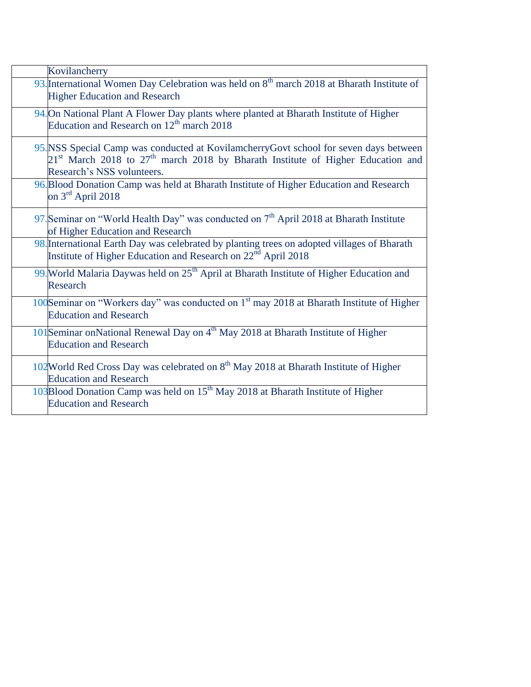| Kovilancherry                                                                                                                                                                                             |
|-----------------------------------------------------------------------------------------------------------------------------------------------------------------------------------------------------------|
| 93. International Women Day Celebration was held on 8 <sup>th</sup> march 2018 at Bharath Institute of<br><b>Higher Education and Research</b>                                                            |
| 94. On National Plant A Flower Day plants where planted at Bharath Institute of Higher<br>Education and Research on 12 <sup>th</sup> march 2018                                                           |
| 95.NSS Special Camp was conducted at KovilamcherryGovt school for seven days between<br>$21st$ March 2018 to $27th$ march 2018 by Bharath Institute of Higher Education and<br>Research's NSS volunteers. |
| 96. Blood Donation Camp was held at Bharath Institute of Higher Education and Research<br>on $3rd$ April 2018                                                                                             |
| 97. Seminar on "World Health Day" was conducted on $7th$ April 2018 at Bharath Institute<br>of Higher Education and Research                                                                              |
| 98. International Earth Day was celebrated by planting trees on adopted villages of Bharath<br>Institute of Higher Education and Research on 22 <sup>nd</sup> April 2018                                  |
| 99. World Malaria Daywas held on 25 <sup>th</sup> April at Bharath Institute of Higher Education and<br>Research                                                                                          |
| 100Seminar on "Workers day" was conducted on 1 <sup>st</sup> may 2018 at Bharath Institute of Higher<br><b>Education and Research</b>                                                                     |
| 101Seminar onNational Renewal Day on 4 <sup>th</sup> May 2018 at Bharath Institute of Higher<br><b>Education and Research</b>                                                                             |
| 102 World Red Cross Day was celebrated on 8 <sup>th</sup> May 2018 at Bharath Institute of Higher<br><b>Education and Research</b>                                                                        |
| 103Blood Donation Camp was held on 15 <sup>th</sup> May 2018 at Bharath Institute of Higher<br><b>Education and Research</b>                                                                              |
|                                                                                                                                                                                                           |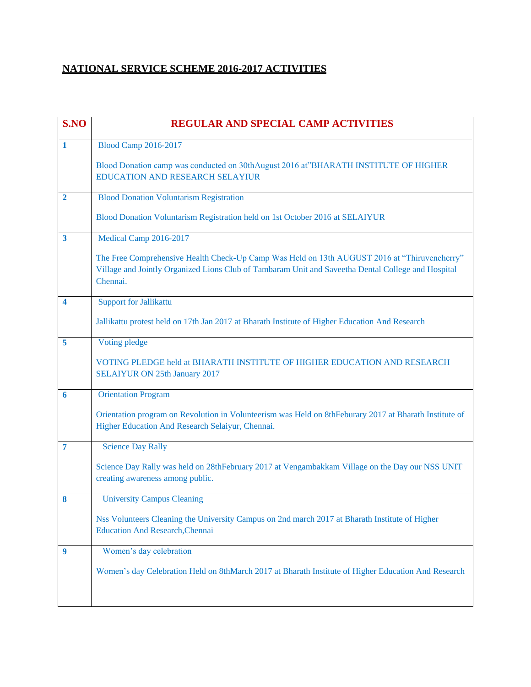# **NATIONAL SERVICE SCHEME 2016-2017 ACTIVITIES**

| S.NO                    | <b>REGULAR AND SPECIAL CAMP ACTIVITIES</b>                                                                                                                                                                     |
|-------------------------|----------------------------------------------------------------------------------------------------------------------------------------------------------------------------------------------------------------|
| 1                       | <b>Blood Camp 2016-2017</b>                                                                                                                                                                                    |
|                         | Blood Donation camp was conducted on 30thAugust 2016 at"BHARATH INSTITUTE OF HIGHER<br><b>EDUCATION AND RESEARCH SELAYIUR</b>                                                                                  |
| $\overline{2}$          | <b>Blood Donation Voluntarism Registration</b>                                                                                                                                                                 |
|                         | Blood Donation Voluntarism Registration held on 1st October 2016 at SELAIYUR                                                                                                                                   |
| $\overline{\mathbf{3}}$ | Medical Camp 2016-2017                                                                                                                                                                                         |
|                         | The Free Comprehensive Health Check-Up Camp Was Held on 13th AUGUST 2016 at "Thiruvencherry"<br>Village and Jointly Organized Lions Club of Tambaram Unit and Saveetha Dental College and Hospital<br>Chennai. |
| 4                       | <b>Support for Jallikattu</b>                                                                                                                                                                                  |
|                         | Jallikattu protest held on 17th Jan 2017 at Bharath Institute of Higher Education And Research                                                                                                                 |
| 5                       | Voting pledge                                                                                                                                                                                                  |
|                         | VOTING PLEDGE held at BHARATH INSTITUTE OF HIGHER EDUCATION AND RESEARCH<br><b>SELAIYUR ON 25th January 2017</b>                                                                                               |
| 6                       | <b>Orientation Program</b>                                                                                                                                                                                     |
|                         | Orientation program on Revolution in Volunteerism was Held on 8thFeburary 2017 at Bharath Institute of<br>Higher Education And Research Selaiyur, Chennai.                                                     |
| 7                       | <b>Science Day Rally</b>                                                                                                                                                                                       |
|                         | Science Day Rally was held on 28thFebruary 2017 at Vengambakkam Village on the Day our NSS UNIT<br>creating awareness among public.                                                                            |
| 8                       | <b>University Campus Cleaning</b>                                                                                                                                                                              |
|                         | Nss Volunteers Cleaning the University Campus on 2nd march 2017 at Bharath Institute of Higher                                                                                                                 |
|                         | <b>Education And Research, Chennai</b>                                                                                                                                                                         |
| 9                       | Women's day celebration                                                                                                                                                                                        |
|                         | Women's day Celebration Held on 8thMarch 2017 at Bharath Institute of Higher Education And Research                                                                                                            |
|                         |                                                                                                                                                                                                                |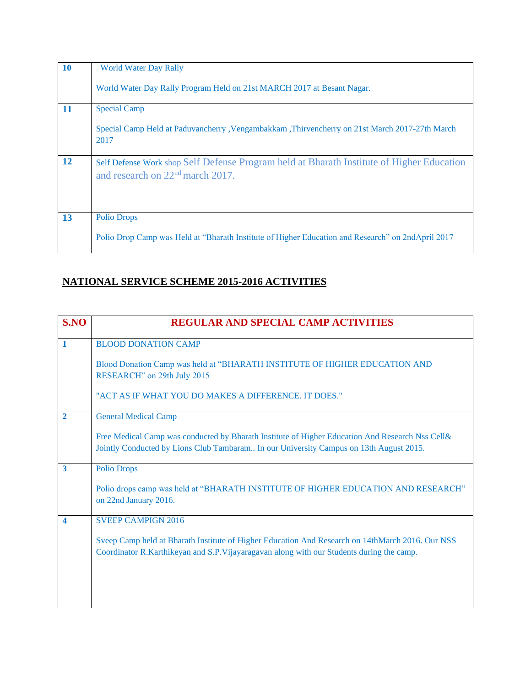| <b>10</b> | <b>World Water Day Rally</b>                                                                                                    |
|-----------|---------------------------------------------------------------------------------------------------------------------------------|
|           | World Water Day Rally Program Held on 21st MARCH 2017 at Besant Nagar.                                                          |
| 11        | <b>Special Camp</b>                                                                                                             |
|           | Special Camp Held at Paduvancherry , Vengambakkam , Thirvencherry on 21st March 2017-27th March<br>2017                         |
| 12        | Self Defense Work shop Self Defense Program held at Bharath Institute of Higher Education<br>and research on $22nd$ march 2017. |
| 13        | <b>Polio Drops</b>                                                                                                              |
|           | Polio Drop Camp was Held at "Bharath Institute of Higher Education and Research" on 2ndApril 2017                               |

## **NATIONAL SERVICE SCHEME 2015-2016 ACTIVITIES**

| S.NO                    | <b>REGULAR AND SPECIAL CAMP ACTIVITIES</b>                                                                                                                                                   |
|-------------------------|----------------------------------------------------------------------------------------------------------------------------------------------------------------------------------------------|
| $\mathbf{1}$            | <b>BLOOD DONATION CAMP</b>                                                                                                                                                                   |
|                         | Blood Donation Camp was held at "BHARATH INSTITUTE OF HIGHER EDUCATION AND<br>RESEARCH" on 29th July 2015                                                                                    |
|                         | "ACT AS IF WHAT YOU DO MAKES A DIFFERENCE. IT DOES."                                                                                                                                         |
| $\mathbf{2}$            | <b>General Medical Camp</b>                                                                                                                                                                  |
|                         | Free Medical Camp was conducted by Bharath Institute of Higher Education And Research Nss Cell&<br>Jointly Conducted by Lions Club Tambaram In our University Campus on 13th August 2015.    |
| $\overline{\mathbf{3}}$ | <b>Polio Drops</b>                                                                                                                                                                           |
|                         | Polio drops camp was held at "BHARATH INSTITUTE OF HIGHER EDUCATION AND RESEARCH"<br>on 22nd January 2016.                                                                                   |
|                         | <b>SVEEP CAMPIGN 2016</b>                                                                                                                                                                    |
|                         | Sveep Camp held at Bharath Institute of Higher Education And Research on 14thMarch 2016. Our NSS<br>Coordinator R.Karthikeyan and S.P.Vijayaragavan along with our Students during the camp. |